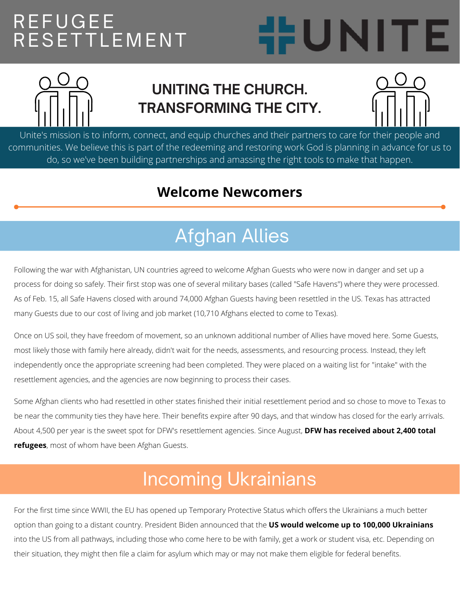### REFUGEE RESETTLEMENT





#### **UNITING THE CHURCH. TRANSFORMING THE CITY.**



Unite's mission is to inform, connect, and equip churches and their partners to care for their people and communities. We believe this is part of the redeeming and restoring work God is planning in advance for us to do, so we've been building partnerships and amassing the right tools to make that happen.

#### **Welcome Newcomers**

## Afghan Allies

Following the war with Afghanistan, UN countries agreed to welcome Afghan Guests who were now in danger and set up a process for doing so safely. Their first stop was one of several military bases (called "Safe Havens") where they were processed. As of Feb. 15, all Safe Havens closed with around 74,000 Afghan Guests having been resettled in the US. Texas has attracted many Guests due to our cost of living and job market (10,710 Afghans elected to come to Texas).

Once on US soil, they have freedom of movement, so an unknown additional number of Allies have moved here. Some Guests, most likely those with family here already, didn't wait for the needs, assessments, and resourcing process. Instead, they left independently once the appropriate screening had been completed. They were placed on a waiting list for "intake" with the resettlement agencies, and the agencies are now beginning to process their cases.

Some Afghan clients who had resettled in other states finished their initial resettlement period and so chose to move to Texas to be near the community ties they have here. Their benefits expire after 90 days, and that window has closed for the early arrivals. About 4,500 per year is the sweet spot for DFW's resettlement agencies. Since August, **DFW has received about 2,400 total refugees**, most of whom have been Afghan Guests.

# Incoming Ukrainians

For the first time since WWII, the EU has opened up Temporary Protective Status which offers the Ukrainians a much better option than going to a distant country. President Biden announced that the **US would welcome up to 100,000 Ukrainians** into the US from all pathways, including those who come here to be with family, get a work or student visa, etc. Depending on their situation, they might then file a claim for asylum which may or may not make them eligible for federal benefits.